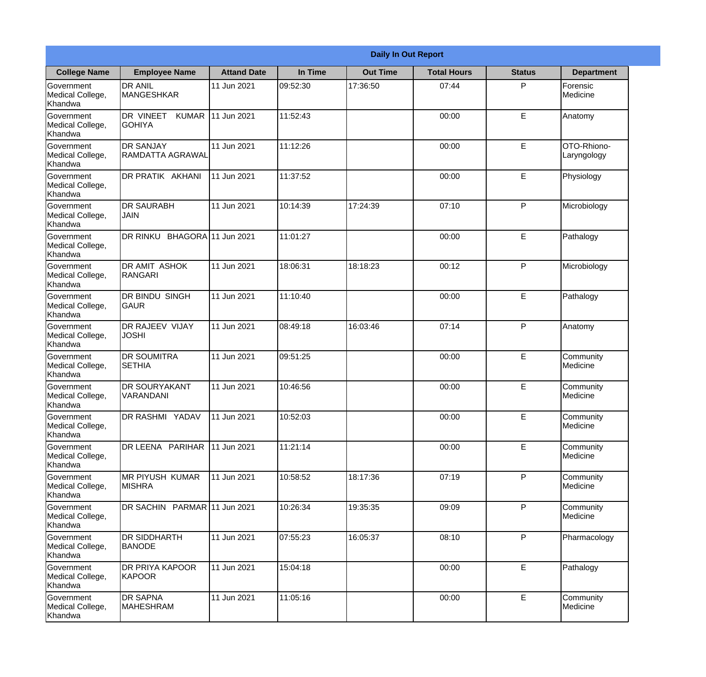|                                                  | <b>Daily In Out Report</b>                 |                    |          |                 |                    |               |                              |  |
|--------------------------------------------------|--------------------------------------------|--------------------|----------|-----------------|--------------------|---------------|------------------------------|--|
| <b>College Name</b>                              | <b>Employee Name</b>                       | <b>Attand Date</b> | In Time  | <b>Out Time</b> | <b>Total Hours</b> | <b>Status</b> | <b>Department</b>            |  |
| Government<br>Medical College,<br>Khandwa        | <b>DR ANIL</b><br>MANGESHKAR               | 11 Jun 2021        | 09:52:30 | 17:36:50        | 07:44              | P             | Forensic<br>Medicine         |  |
| Government<br>Medical College,<br>Khandwa        | DR VINEET<br><b>KUMAR</b><br><b>GOHIYA</b> | 11 Jun 2021        | 11:52:43 |                 | 00:00              | E             | Anatomy                      |  |
| <b>Government</b><br>Medical College,<br>Khandwa | <b>DR SANJAY</b><br>RAMDATTA AGRAWAL       | 11 Jun 2021        | 11:12:26 |                 | 00:00              | E             | OTO-Rhiono-<br>Laryngology   |  |
| Government<br>Medical College,<br>Khandwa        | <b>DR PRATIK AKHANI</b>                    | 11 Jun 2021        | 11:37:52 |                 | 00:00              | E             | Physiology                   |  |
| Government<br>Medical College,<br>Khandwa        | <b>IDR SAURABH</b><br><b>JAIN</b>          | 11 Jun 2021        | 10:14:39 | 17:24:39        | 07:10              | P             | Microbiology                 |  |
| Government<br>Medical College,<br>Khandwa        | DR RINKU BHAGORA 11 Jun 2021               |                    | 11:01:27 |                 | 00:00              | E             | Pathalogy                    |  |
| Government<br>Medical College,<br>Khandwa        | <b>DR AMIT ASHOK</b><br><b>RANGARI</b>     | 11 Jun 2021        | 18:06:31 | 18:18:23        | 00:12              | P             | Microbiology                 |  |
| Government<br>Medical College,<br>Khandwa        | <b>DR BINDU SINGH</b><br><b>GAUR</b>       | 11 Jun 2021        | 11:10:40 |                 | 00:00              | E             | Pathalogy                    |  |
| Government<br>Medical College,<br>Khandwa        | <b>DR RAJEEV VIJAY</b><br><b>JOSHI</b>     | 11 Jun 2021        | 08:49:18 | 16:03:46        | 07:14              | P             | Anatomy                      |  |
| Government<br>Medical College,<br>Khandwa        | <b>DR SOUMITRA</b><br><b>SETHIA</b>        | 11 Jun 2021        | 09:51:25 |                 | 00:00              | E             | Community<br><b>Medicine</b> |  |
| Government<br>Medical College,<br>Khandwa        | <b>DR SOURYAKANT</b><br>VARANDANI          | 11 Jun 2021        | 10:46:56 |                 | 00:00              | E             | Community<br>Medicine        |  |
| Government<br>Medical College,<br>Khandwa        | <b>DR RASHMI YADAV</b>                     | 11 Jun 2021        | 10:52:03 |                 | 00:00              | E             | Community<br>Medicine        |  |
| Government<br>Medical College,<br>Khandwa        | DR LEENA PARIHAR                           | 11 Jun 2021        | 11:21:14 |                 | 00:00              | E             | Community<br>Medicine        |  |
| Government<br>Medical College,<br>Khandwa        | IMR PIYUSH KUMAR<br><b>MISHRA</b>          | 11 Jun 2021        | 10:58:52 | 18:17:36        | 07:19              | P             | Community<br>Medicine        |  |
| Government<br>Medical College,<br>Khandwa        | DR SACHIN PARMAR 11 Jun 2021               |                    | 10:26:34 | 19:35:35        | 09:09              | P             | Community<br>Medicine        |  |
| Government<br>Medical College,<br>Khandwa        | <b>DR SIDDHARTH</b><br><b>BANODE</b>       | 11 Jun 2021        | 07:55:23 | 16:05:37        | 08:10              | P             | Pharmacology                 |  |
| Government<br>Medical College,<br>Khandwa        | <b>DR PRIYA KAPOOR</b><br>KAPOOR           | 11 Jun 2021        | 15:04:18 |                 | 00:00              | E             | Pathalogy                    |  |
| Government<br>Medical College,<br>Khandwa        | <b>DR SAPNA</b><br><b>MAHESHRAM</b>        | 11 Jun 2021        | 11:05:16 |                 | 00:00              | E             | Community<br>Medicine        |  |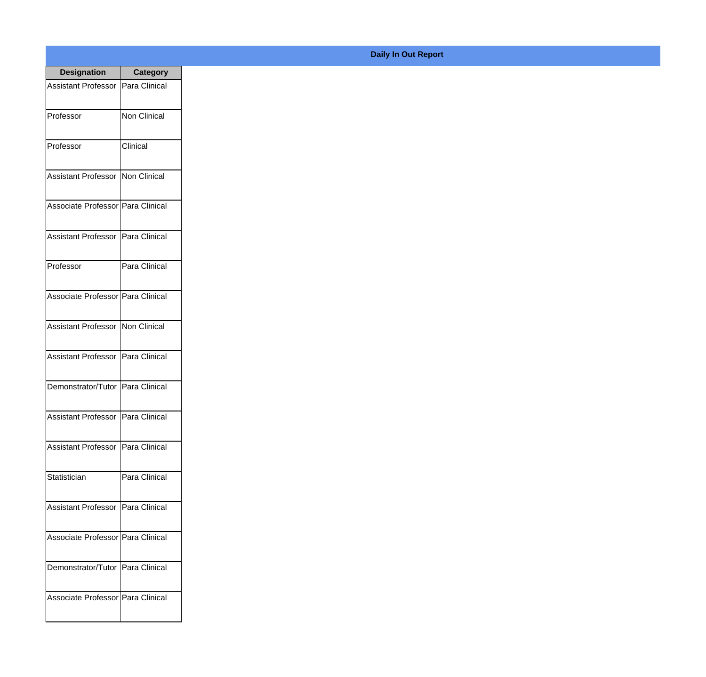| <b>Designation</b>                  | <b>Category</b> |
|-------------------------------------|-----------------|
| Assistant Professor   Para Clinical |                 |
| Professor                           | Non Clinical    |
| Professor                           | Clinical        |
| Assistant Professor   Non Clinical  |                 |
| Associate Professor Para Clinical   |                 |
| Assistant Professor   Para Clinical |                 |
| Professor                           | Para Clinical   |
| Associate Professor Para Clinical   |                 |
| Assistant Professor   Non Clinical  |                 |
| Assistant Professor   Para Clinical |                 |
| Demonstrator/Tutor   Para Clinical  |                 |
| <b>Assistant Professor</b>          | Para Clinical   |
| Assistant Professor   Para Clinical |                 |
| Statistician                        | Para Clinical   |
| Assistant Professor   Para Clinical |                 |
| Associate Professor Para Clinical   |                 |
| Demonstrator/Tutor   Para Clinical  |                 |
| Associate Professor   Para Clinical |                 |

## **Daily In Out Report**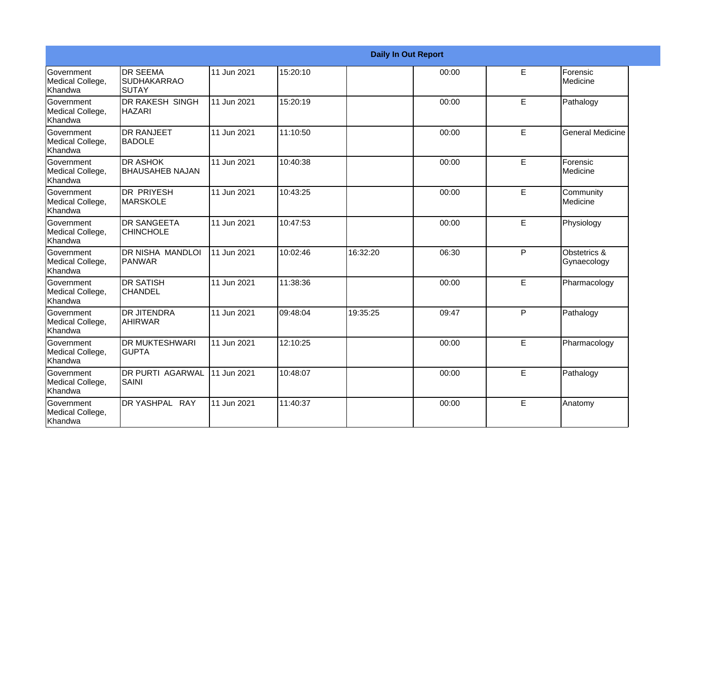|                                                         |                                                 |             |          |          | <b>Daily In Out Report</b> |              |                             |
|---------------------------------------------------------|-------------------------------------------------|-------------|----------|----------|----------------------------|--------------|-----------------------------|
| Government<br>Medical College,<br>Khandwa               | <b>DR SEEMA</b><br><b>SUDHAKARRAO</b><br>ISUTAY | 11 Jun 2021 | 15:20:10 |          | 00:00                      | E            | Forensic<br>Medicine        |
| Government<br>Medical College,<br>Khandwa               | <b>DR RAKESH SINGH</b><br><b>HAZARI</b>         | 11 Jun 2021 | 15:20:19 |          | 00:00                      | E.           | Pathalogy                   |
| Government<br>Medical College,<br>Khandwa               | <b>DR RANJEET</b><br><b>BADOLE</b>              | 11 Jun 2021 | 11:10:50 |          | 00:00                      | E.           | <b>General Medicine</b>     |
| <b>Government</b><br>Medical College,<br><b>Khandwa</b> | <b>DR ASHOK</b><br><b>BHAUSAHEB NAJAN</b>       | 11 Jun 2021 | 10:40:38 |          | 00:00                      | E            | Forensic<br>Medicine        |
| <b>Government</b><br>Medical College,<br><b>Khandwa</b> | IDR PRIYESH<br><b>MARSKOLE</b>                  | 11 Jun 2021 | 10:43:25 |          | 00:00                      | E            | Community<br>Medicine       |
| Government<br>Medical College,<br>Khandwa               | <b>DR SANGEETA</b><br><b>CHINCHOLE</b>          | 11 Jun 2021 | 10:47:53 |          | 00:00                      | E            | Physiology                  |
| <b>Government</b><br>Medical College,<br>Khandwa        | IDR NISHA MANDLOI<br><b>PANWAR</b>              | 11 Jun 2021 | 10:02:46 | 16:32:20 | 06:30                      | $\mathsf{P}$ | Obstetrics &<br>Gynaecology |
| <b>Government</b><br>Medical College,<br>Khandwa        | <b>DR SATISH</b><br><b>CHANDEL</b>              | 11 Jun 2021 | 11:38:36 |          | 00:00                      | E.           | Pharmacology                |
| Government<br>Medical College,<br>Khandwa               | IDR JITENDRA<br><b>AHIRWAR</b>                  | 11 Jun 2021 | 09:48:04 | 19:35:25 | 09:47                      | P            | Pathalogy                   |
| <b>Government</b><br>Medical College,<br>Khandwa        | <b>IDR MUKTESHWARI</b><br><b>GUPTA</b>          | 11 Jun 2021 | 12:10:25 |          | 00:00                      | E            | Pharmacology                |
| Government<br>Medical College,<br>Khandwa               | <b>DR PURTI AGARWAL</b><br>SAINI                | 11 Jun 2021 | 10:48:07 |          | 00:00                      | E            | Pathalogy                   |
| Government<br>Medical College,<br>Khandwa               | DR YASHPAL RAY                                  | 11 Jun 2021 | 11:40:37 |          | 00:00                      | E            | Anatomy                     |